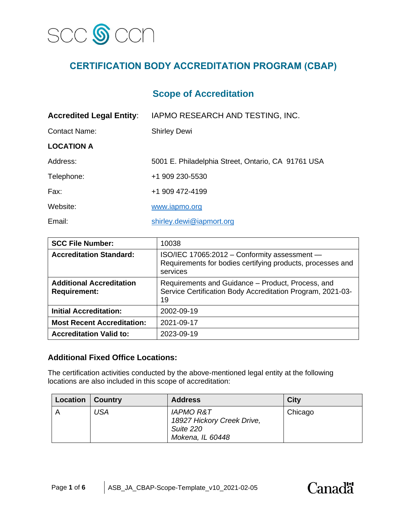

## **CERTIFICATION BODY ACCREDITATION PROGRAM (CBAP)**

### **Scope of Accreditation**

| <b>Accredited Legal Entity:</b> | IAPMO RESEARCH AND TESTING, INC.                   |
|---------------------------------|----------------------------------------------------|
| Contact Name:                   | <b>Shirley Dewi</b>                                |
| <b>LOCATION A</b>               |                                                    |
| Address:                        | 5001 E. Philadelphia Street, Ontario, CA 91761 USA |
| Telephone:                      | +1 909 230-5530                                    |
| Fax:                            | +1 909 472-4199                                    |
| Website:                        | www.iapmo.org                                      |
| Email:                          | shirley.dewi@iapmort.org                           |

| <b>SCC File Number:</b>                                | 10038                                                                                                                  |
|--------------------------------------------------------|------------------------------------------------------------------------------------------------------------------------|
| <b>Accreditation Standard:</b>                         | ISO/IEC 17065:2012 - Conformity assessment -<br>Requirements for bodies certifying products, processes and<br>services |
| <b>Additional Accreditation</b><br><b>Requirement:</b> | Requirements and Guidance - Product, Process, and<br>Service Certification Body Accreditation Program, 2021-03-<br>19  |
| <b>Initial Accreditation:</b>                          | 2002-09-19                                                                                                             |
| <b>Most Recent Accreditation:</b>                      | 2021-09-17                                                                                                             |
| <b>Accreditation Valid to:</b>                         | 2023-09-19                                                                                                             |

### **Additional Fixed Office Locations:**

The certification activities conducted by the above-mentioned legal entity at the following locations are also included in this scope of accreditation:

| Location   Country |            | <b>Address</b>                                                           | City    |
|--------------------|------------|--------------------------------------------------------------------------|---------|
|                    | <b>USA</b> | IAPMO R&T<br>18927 Hickory Creek Drive,<br>Suite 220<br>Mokena, IL 60448 | Chicago |

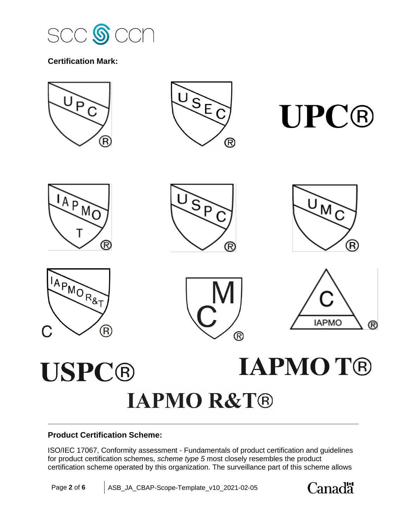

### **Certification Mark:**





# **UPC®**













# **IAPMOT® USPC® IAPMO R&T®**

### **Product Certification Scheme:**

ISO/IEC 17067, Conformity assessment - Fundamentals of product certification and guidelines for product certification schemes, *scheme type 5* most closely resembles the product certification scheme operated by this organization. The surveillance part of this scheme allows

Page **2** of **6** ASB\_JA\_CBAP-Scope-Template\_v10\_2021-02-05

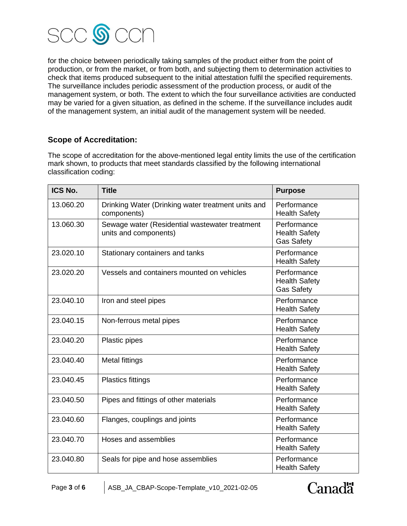

for the choice between periodically taking samples of the product either from the point of production, or from the market, or from both, and subjecting them to determination activities to check that items produced subsequent to the initial attestation fulfil the specified requirements. The surveillance includes periodic assessment of the production process, or audit of the management system, or both. The extent to which the four surveillance activities are conducted may be varied for a given situation, as defined in the scheme. If the surveillance includes audit of the management system, an initial audit of the management system will be needed.

### **Scope of Accreditation:**

The scope of accreditation for the above-mentioned legal entity limits the use of the certification mark shown, to products that meet standards classified by the following international classification coding:

| ICS No.   | <b>Title</b>                                                            | <b>Purpose</b>                                           |
|-----------|-------------------------------------------------------------------------|----------------------------------------------------------|
| 13.060.20 | Drinking Water (Drinking water treatment units and<br>components)       | Performance<br><b>Health Safety</b>                      |
| 13.060.30 | Sewage water (Residential wastewater treatment<br>units and components) | Performance<br><b>Health Safety</b><br><b>Gas Safety</b> |
| 23.020.10 | Stationary containers and tanks                                         | Performance<br><b>Health Safety</b>                      |
| 23.020.20 | Vessels and containers mounted on vehicles                              | Performance<br><b>Health Safety</b><br><b>Gas Safety</b> |
| 23.040.10 | Iron and steel pipes                                                    | Performance<br><b>Health Safety</b>                      |
| 23.040.15 | Non-ferrous metal pipes                                                 | Performance<br><b>Health Safety</b>                      |
| 23.040.20 | Plastic pipes                                                           | Performance<br><b>Health Safety</b>                      |
| 23.040.40 | <b>Metal fittings</b>                                                   | Performance<br><b>Health Safety</b>                      |
| 23.040.45 | <b>Plastics fittings</b>                                                | Performance<br><b>Health Safety</b>                      |
| 23.040.50 | Pipes and fittings of other materials                                   | Performance<br><b>Health Safety</b>                      |
| 23.040.60 | Flanges, couplings and joints                                           | Performance<br><b>Health Safety</b>                      |
| 23.040.70 | Hoses and assemblies                                                    | Performance<br><b>Health Safety</b>                      |
| 23.040.80 | Seals for pipe and hose assemblies                                      | Performance<br><b>Health Safety</b>                      |

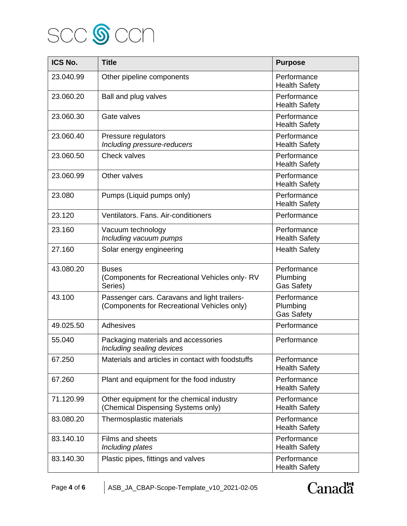

| ICS No.   | <b>Title</b>                                                                                | <b>Purpose</b>                               |
|-----------|---------------------------------------------------------------------------------------------|----------------------------------------------|
| 23.040.99 | Other pipeline components                                                                   | Performance<br><b>Health Safety</b>          |
| 23.060.20 | Ball and plug valves                                                                        | Performance<br><b>Health Safety</b>          |
| 23.060.30 | Gate valves                                                                                 | Performance<br><b>Health Safety</b>          |
| 23.060.40 | Pressure regulators<br>Including pressure-reducers                                          | Performance<br><b>Health Safety</b>          |
| 23.060.50 | <b>Check valves</b>                                                                         | Performance<br><b>Health Safety</b>          |
| 23.060.99 | Other valves                                                                                | Performance<br><b>Health Safety</b>          |
| 23.080    | Pumps (Liquid pumps only)                                                                   | Performance<br><b>Health Safety</b>          |
| 23.120    | Ventilators, Fans, Air-conditioners                                                         | Performance                                  |
| 23.160    | Vacuum technology<br>Including vacuum pumps                                                 | Performance<br><b>Health Safety</b>          |
| 27.160    | Solar energy engineering                                                                    | <b>Health Safety</b>                         |
| 43.080.20 | <b>Buses</b><br>(Components for Recreational Vehicles only-RV<br>Series)                    | Performance<br>Plumbing<br><b>Gas Safety</b> |
| 43.100    | Passenger cars. Caravans and light trailers-<br>(Components for Recreational Vehicles only) | Performance<br>Plumbing<br><b>Gas Safety</b> |
| 49.025.50 | Adhesives                                                                                   | Performance                                  |
| 55.040    | Packaging materials and accessories<br>Including sealing devices                            | Performance                                  |
| 67.250    | Materials and articles in contact with foodstuffs                                           | Performance<br><b>Health Safety</b>          |
| 67.260    | Plant and equipment for the food industry                                                   | Performance<br><b>Health Safety</b>          |
| 71.120.99 | Other equipment for the chemical industry<br>(Chemical Dispensing Systems only)             | Performance<br><b>Health Safety</b>          |
| 83.080.20 | Thermosplastic materials                                                                    | Performance<br><b>Health Safety</b>          |
| 83.140.10 | Films and sheets<br>Including plates                                                        | Performance<br><b>Health Safety</b>          |
| 83.140.30 | Plastic pipes, fittings and valves                                                          | Performance<br><b>Health Safety</b>          |

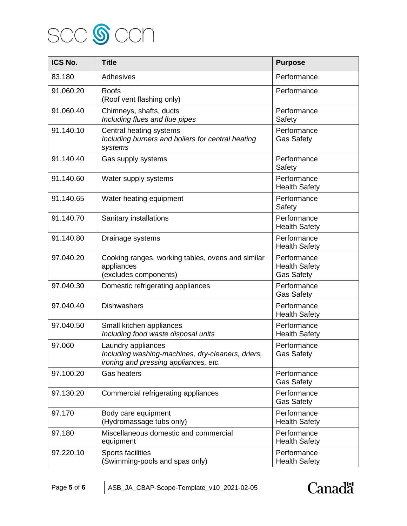

| ICS No.   | <b>Title</b>                                                                                                     | <b>Purpose</b>                                           |
|-----------|------------------------------------------------------------------------------------------------------------------|----------------------------------------------------------|
| 83.180    | Adhesives                                                                                                        | Performance                                              |
| 91.060.20 | Roofs<br>(Roof vent flashing only)                                                                               | Performance                                              |
| 91.060.40 | Chimneys, shafts, ducts<br>Including flues and flue pipes                                                        | Performance<br>Safety                                    |
| 91.140.10 | Central heating systems<br>Including burners and boilers for central heating<br>systems                          | Performance<br><b>Gas Safety</b>                         |
| 91.140.40 | Gas supply systems                                                                                               | Performance<br>Safety                                    |
| 91.140.60 | Water supply systems                                                                                             | Performance<br><b>Health Safety</b>                      |
| 91.140.65 | Water heating equipment                                                                                          | Performance<br>Safety                                    |
| 91.140.70 | Sanitary installations                                                                                           | Performance<br><b>Health Safety</b>                      |
| 91.140.80 | Drainage systems                                                                                                 | Performance<br><b>Health Safety</b>                      |
| 97.040.20 | Cooking ranges, working tables, ovens and similar<br>appliances<br>(excludes components)                         | Performance<br><b>Health Safety</b><br><b>Gas Safety</b> |
| 97.040.30 | Domestic refrigerating appliances                                                                                | Performance<br><b>Gas Safety</b>                         |
| 97.040.40 | <b>Dishwashers</b>                                                                                               | Performance<br><b>Health Safety</b>                      |
| 97.040.50 | Small kitchen appliances<br>Including food waste disposal units                                                  | Performance<br><b>Health Safety</b>                      |
| 97.060    | Laundry appliances<br>Including washing-machines, dry-cleaners, driers,<br>ironing and pressing appliances, etc. | Performance<br><b>Gas Safety</b>                         |
| 97.100.20 | <b>Gas heaters</b>                                                                                               | Performance<br><b>Gas Safety</b>                         |
| 97.130.20 | Commercial refrigerating appliances                                                                              | Performance<br><b>Gas Safety</b>                         |
| 97.170    | Body care equipment<br>(Hydromassage tubs only)                                                                  | Performance<br><b>Health Safety</b>                      |
| 97.180    | Miscellaneous domestic and commercial<br>equipment                                                               | Performance<br><b>Health Safety</b>                      |
| 97.220.10 | Sports facilities<br>(Swimming-pools and spas only)                                                              | Performance<br><b>Health Safety</b>                      |